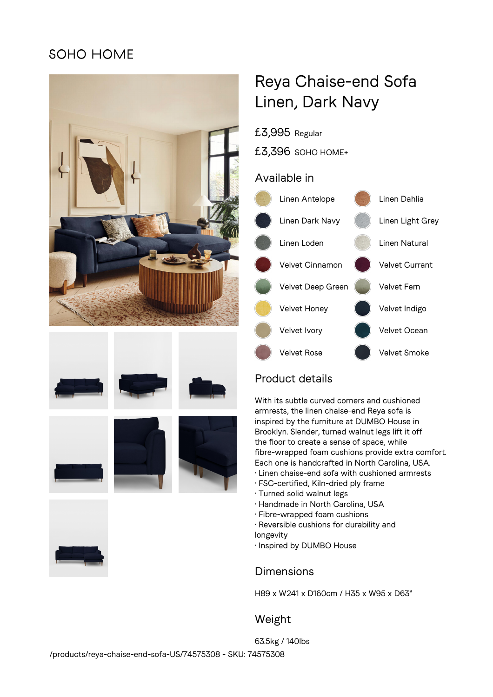## **SOHO HOME**













# Reya Chaise-end Sofa Linen, Dark Navy

£3,995 Regular

£3,396 SOHO HOME+

#### Available in



## Product details

With its subtle curved corners and cushioned armrests, the linen chaise-end Reya sofa is inspired by the furniture at DUMBO House in Brooklyn. Slender, turned walnut legs lift it off the floor to create a sense of space, while fibre-wrapped foam cushions provide extra comfort. Each one is handcrafted in North Carolina, USA.

- Linen chaise-end sofa with cushioned armrests
- FSC-certified, Kiln-dried ply frame
- Turned solid walnut legs
- Handmade in North Carolina, USA
- Fibre-wrapped foam cushions
- Reversible cushions for durability and
- longevity
- Inspired by DUMBO House

## Dimensions

H89 x W241 x D160cm / H35 x W95 x D63"

## Weight

63.5kg / 140lbs /products/reya-chaise-end-sofa-US/74575308 - SKU: 74575308